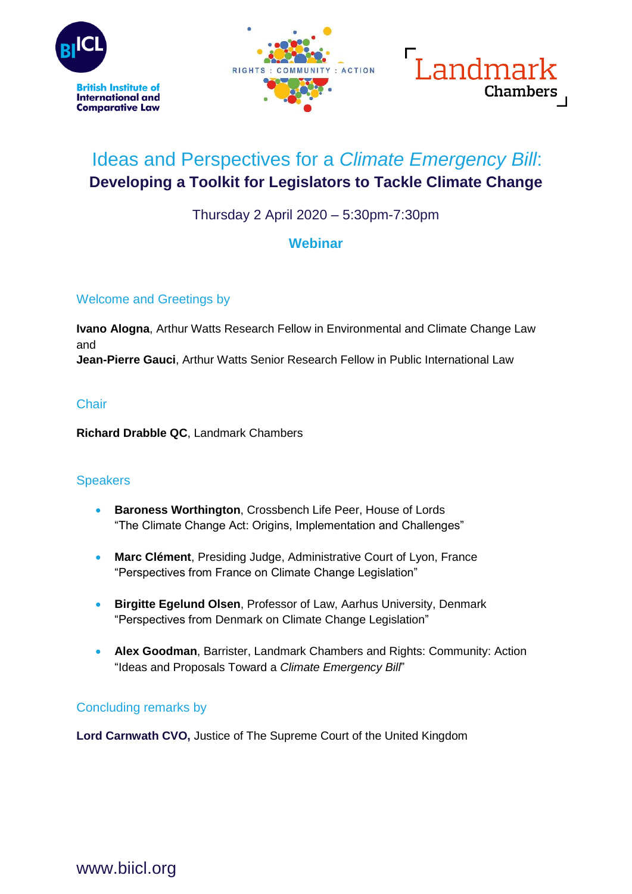





## Ideas and Perspectives for a *Climate Emergency Bill*: **Developing a Toolkit for Legislators to Tackle Climate Change**

Thursday 2 April 2020 – 5:30pm-7:30pm

### **Webinar**

#### Welcome and Greetings by

**Ivano Alogna**, Arthur Watts Research Fellow in Environmental and Climate Change Law and **Jean-Pierre Gauci**, Arthur Watts Senior Research Fellow in Public International Law

#### **Chair**

**Richard Drabble QC**, Landmark Chambers

#### **Speakers**

- **Baroness Worthington**, Crossbench Life Peer, House of Lords "The Climate Change Act: Origins, Implementation and Challenges"
- **Marc Clément**, Presiding Judge, Administrative Court of Lyon, France "Perspectives from France on Climate Change Legislation"
- **Birgitte Egelund Olsen**, Professor of Law, Aarhus University, Denmark "Perspectives from Denmark on Climate Change Legislation"
- **Alex Goodman**, Barrister, Landmark Chambers and Rights: Community: Action "Ideas and Proposals Toward a *Climate Emergency Bill*"

#### Concluding remarks by

**Lord Carnwath CVO,** Justice of The Supreme Court of the United Kingdom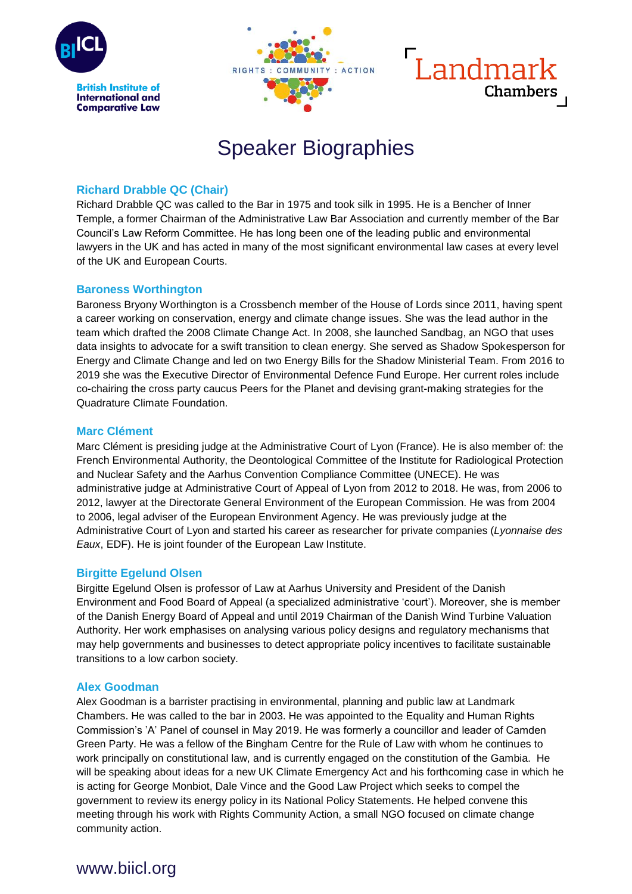





# Speaker Biographies

#### **Richard Drabble QC (Chair)**

Richard Drabble QC was called to the Bar in 1975 and took silk in 1995. He is a Bencher of Inner Temple, a former Chairman of the Administrative Law Bar Association and currently member of the Bar Council's Law Reform Committee. He has long been one of the leading public and environmental lawyers in the UK and has acted in many of the most significant environmental law cases at every level of the UK and European Courts.

#### **Baroness Worthington**

Baroness Bryony Worthington is a Crossbench member of the House of Lords since 2011, having spent a career working on conservation, energy and climate change issues. She was the lead author in the team which drafted the 2008 Climate Change Act. In 2008, she launched Sandbag, an NGO that uses data insights to advocate for a swift transition to clean energy. She served as Shadow Spokesperson for Energy and Climate Change and led on two Energy Bills for the Shadow Ministerial Team. From 2016 to 2019 she was the Executive Director of Environmental Defence Fund Europe. Her current roles include co-chairing the cross party caucus Peers for the Planet and devising grant-making strategies for the Quadrature Climate Foundation.

#### **Marc Clément**

Marc Clément is presiding judge at the Administrative Court of Lyon (France). He is also member of: the French Environmental Authority, the Deontological Committee of the Institute for Radiological Protection and Nuclear Safety and the Aarhus Convention Compliance Committee (UNECE). He was administrative judge at Administrative Court of Appeal of Lyon from 2012 to 2018. He was, from 2006 to 2012, lawyer at the Directorate General Environment of the European Commission. He was from 2004 to 2006, legal adviser of the European Environment Agency. He was previously judge at the Administrative Court of Lyon and started his career as researcher for private companies (*Lyonnaise des Eaux*, EDF). He is joint founder of the European Law Institute.

#### **Birgitte Egelund Olsen**

Birgitte Egelund Olsen is professor of Law at Aarhus University and President of the Danish Environment and Food Board of Appeal (a specialized administrative 'court'). Moreover, she is member of the Danish Energy Board of Appeal and until 2019 Chairman of the Danish Wind Turbine Valuation Authority. Her work emphasises on analysing various policy designs and regulatory mechanisms that may help governments and businesses to detect appropriate policy incentives to facilitate sustainable transitions to a low carbon society.

#### **Alex Goodman**

Alex Goodman is a barrister practising in environmental, planning and public law at Landmark Chambers. He was called to the bar in 2003. He was appointed to the Equality and Human Rights Commission's 'A' Panel of counsel in May 2019. He was formerly a councillor and leader of Camden Green Party. He was a fellow of the Bingham Centre for the Rule of Law with whom he continues to work principally on constitutional law, and is currently engaged on the constitution of the Gambia. He will be speaking about ideas for a new UK Climate Emergency Act and his forthcoming case in which he is acting for George Monbiot, Dale Vince and the Good Law Project which seeks to compel the government to review its energy policy in its National Policy Statements. He helped convene this meeting through his work with Rights Community Action, a small NGO focused on climate change community action.

## www.biicl.org